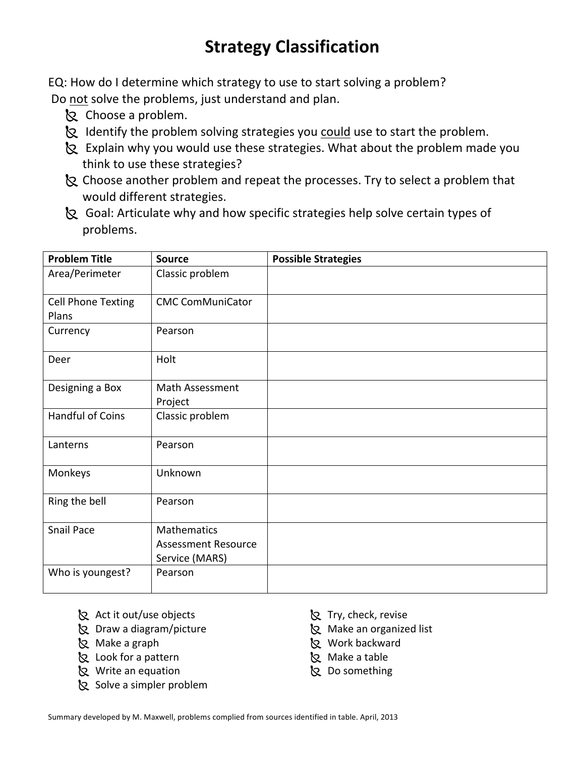# **Strategy Classification**

EQ: How do I determine which strategy to use to start solving a problem? Do not solve the problems, just understand and plan.

- k Choose a problem.
- Identify the problem solving strategies you could use to start the problem.
- <sup>8</sup> Explain why you would use these strategies. What about the problem made you think to use these strategies?
- <sup>8</sup> Choose another problem and repeat the processes. Try to select a problem that would different strategies.
- <sup>2</sup> Goal: Articulate why and how specific strategies help solve certain types of problems.'

| <b>Problem Title</b>      | <b>Source</b>              | <b>Possible Strategies</b> |
|---------------------------|----------------------------|----------------------------|
| Area/Perimeter            | Classic problem            |                            |
| <b>Cell Phone Texting</b> | <b>CMC ComMuniCator</b>    |                            |
| Plans                     |                            |                            |
| Currency                  | Pearson                    |                            |
| Deer                      | Holt                       |                            |
| Designing a Box           | Math Assessment            |                            |
|                           | Project                    |                            |
| Handful of Coins          | Classic problem            |                            |
| Lanterns                  | Pearson                    |                            |
| Monkeys                   | Unknown                    |                            |
| Ring the bell             | Pearson                    |                            |
| Snail Pace                | <b>Mathematics</b>         |                            |
|                           | <b>Assessment Resource</b> |                            |
|                           | Service (MARS)             |                            |
| Who is youngest?          | Pearson                    |                            |

- & Act it out/use objects
- **&** Draw a diagram/picture
- & Make a graph
- & Look for a pattern
- & Write an equation
- Solve a simpler problem
- **&** Try, check, revise
- **&** Make an organized list
- k Work backward
- **&** Make a table
- k Do something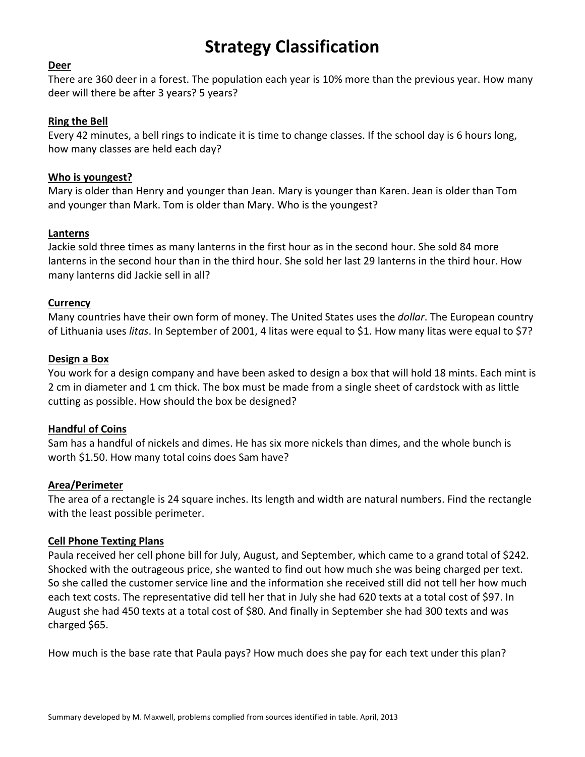## **Strategy Classification**

#### **Deer**

There are 360 deer in a forest. The population each year is 10% more than the previous year. How many deer will there be after 3 years? 5 years?

### **Ring the Bell**

Every 42 minutes, a bell rings to indicate it is time to change classes. If the school day is 6 hours long, how many classes are held each day?

#### **Who is youngest?**

Mary is older than Henry and younger than Jean. Mary is younger than Karen. Jean is older than Tom and younger than Mark. Tom is older than Mary. Who is the youngest?

#### **Lanterns**

Jackie sold three times as many lanterns in the first hour as in the second hour. She sold 84 more lanterns in the second hour than in the third hour. She sold her last 29 lanterns in the third hour. How many lanterns did Jackie sell in all?

#### **Currency**

Many countries have their own form of money. The United States uses the *dollar*. The European country of Lithuania uses *litas*. In September of 2001, 4 litas were equal to \$1. How many litas were equal to \$7?

#### **Design a Box**

You work for a design company and have been asked to design a box that will hold 18 mints. Each mint is 2 cm in diameter and 1 cm thick. The box must be made from a single sheet of cardstock with as little cutting as possible. How should the box be designed?

#### **Handful of Coins**

Sam has a handful of nickels and dimes. He has six more nickels than dimes, and the whole bunch is worth \$1.50. How many total coins does Sam have?

#### **Area/Perimeter**

The area of a rectangle is 24 square inches. Its length and width are natural numbers. Find the rectangle with the least possible perimeter.

### **Cell Phone Texting Plans**

Paula received her cell phone bill for July, August, and September, which came to a grand total of \$242. Shocked with the outrageous price, she wanted to find out how much she was being charged per text. So she called the customer service line and the information she received still did not tell her how much each text costs. The representative did tell her that in July she had 620 texts at a total cost of \$97. In August she had 450 texts at a total cost of \$80. And finally in September she had 300 texts and was charged \$65.

How much is the base rate that Paula pays? How much does she pay for each text under this plan?